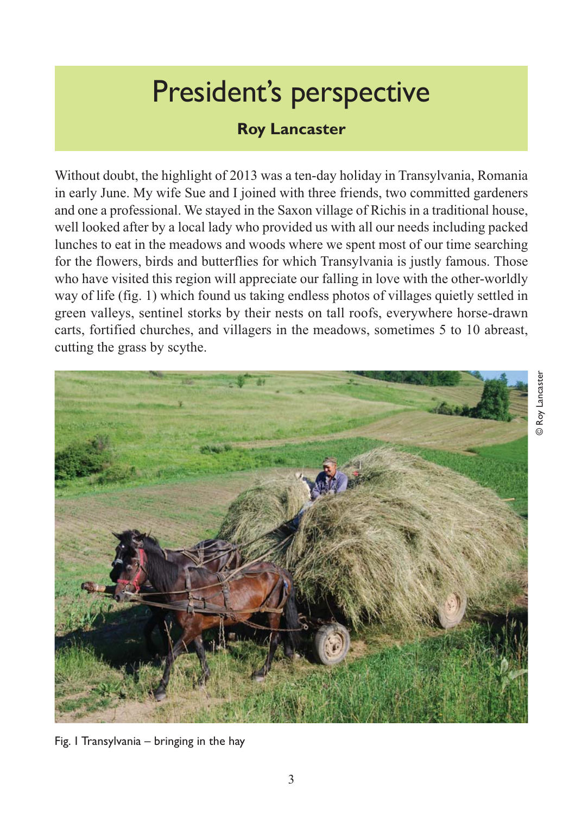## President's perspective

## **Roy Lancaster**

Without doubt, the highlight of 2013 was a ten-day holiday in Transylvania, Romania in early June. My wife Sue and I joined with three friends, two committed gardeners and one a professional. We stayed in the Saxon village of Richis in a traditional house, well looked after by a local lady who provided us with all our needs including packed lunches to eat in the meadows and woods where we spent most of our time searching for the flowers, birds and butterflies for which Transylvania is justly famous. Those who have visited this region will appreciate our falling in love with the other-worldly way of life (fig. 1) which found us taking endless photos of villages quietly settled in green valleys, sentinel storks by their nests on tall roofs, everywhere horse-drawn carts, fortified churches, and villagers in the meadows, sometimes 5 to 10 abreast, cutting the grass by scythe.



**D** Roy Lancaster © Roy Lancaster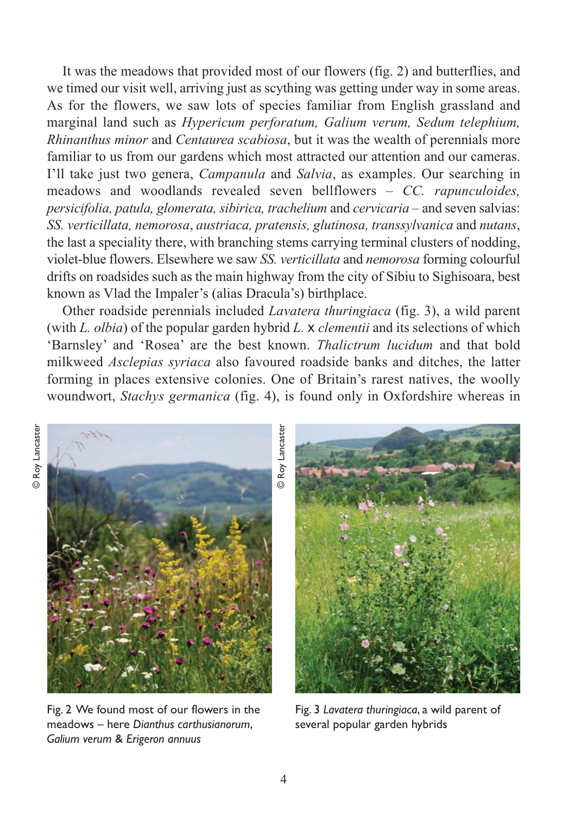It was the meadows that provided most of our flowers (fig. 2) and butterflies, and we timed our visit well, arriving just as scything was getting under way in some areas. As for the flowers, we saw lots of species familiar from English grassland and marginal land such as *Hypericum perforatum, Galium verum, Sedum telephium, Rhinanthus minor* and *Centaurea scabiosa*, but it was the wealth of perennials more familiar to us from our gardens which most attracted our attention and our cameras. I'll take just two genera, *Campanula* and *Salvia*, as examples. Our searching in meadows and woodlands revealed seven bellflowers – *CC. rapunculoides, persicifolia, patula, glomerata, sibirica, trachelium* and *cervicaria* – and seven salvias: *SS. verticillata, nemorosa*, *austriaca, pratensis, glutinosa, transsylvanica* and *nutans*, the last a speciality there, with branching stems carrying terminal clusters of nodding, violet-blue flowers. Elsewhere we saw *SS. verticillata* and *nemorosa* forming colourful drifts on roadsides such as the main highway from the city of Sibiu to Sighisoara, best known as Vlad the Impaler's (alias Dracula's) birthplace.

Other roadside perennials included *Lavatera thuringiaca* (fig. 3), a wild parent (with *L. olbia*) of the popular garden hybrid *L.* x *clementii* and its selections of which 'Barnsley' and 'Rosea' are the best known. *Thalictrum lucidum* and that bold milkweed *Asclepias syriaca* also favoured roadside banks and ditches, the latter forming in places extensive colonies. One of Britain's rarest natives, the woolly woundwort, *Stachys germanica* (fig. 4), is found only in Oxfordshire whereas in



Fig. 2 We found most of our flowers in the meadows – here *Dianthus carthusianorum*, *Galium verum* & *Erigeron annuus*

Fig. 3 *Lavatera thuringiaca*, a wild parent of several popular garden hybrids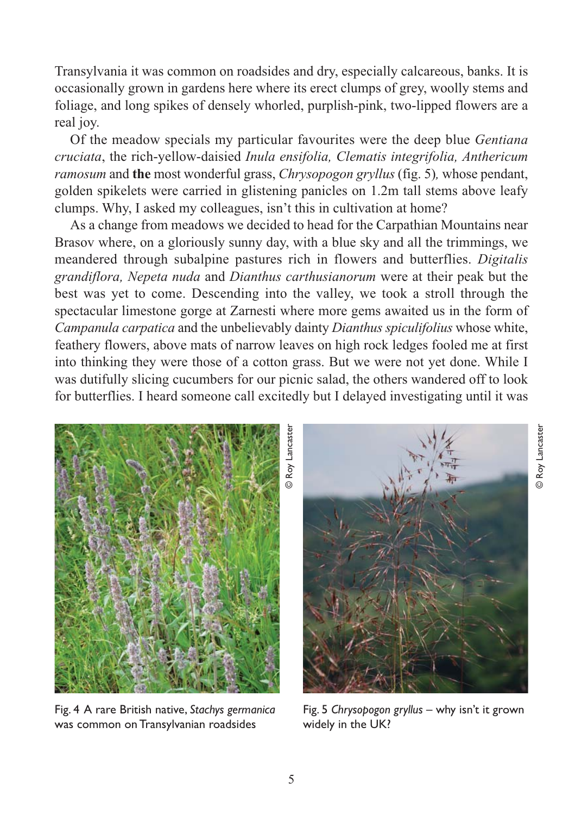Transylvania it was common on roadsides and dry, especially calcareous, banks. It is occasionally grown in gardens here where its erect clumps of grey, woolly stems and foliage, and long spikes of densely whorled, purplish-pink, two-lipped flowers are a real joy.

Of the meadow specials my particular favourites were the deep blue *Gentiana cruciata*, the rich-yellow-daisied *Inula ensifolia, Clematis integrifolia, Anthericum ramosum* and **the** most wonderful grass, *Chrysopogon gryllus* (fig. 5)*,* whose pendant, golden spikelets were carried in glistening panicles on 1.2m tall stems above leafy clumps. Why, I asked my colleagues, isn't this in cultivation at home?

As a change from meadows we decided to head for the Carpathian Mountains near Brasov where, on a gloriously sunny day, with a blue sky and all the trimmings, we meandered through subalpine pastures rich in flowers and butterflies. *Digitalis grandiflora, Nepeta nuda* and *Dianthus carthusianorum* were at their peak but the best was yet to come. Descending into the valley, we took a stroll through the spectacular limestone gorge at Zarnesti where more gems awaited us in the form of *Campanula carpatica* and the unbelievably dainty *Dianthus spiculifolius* whose white, feathery flowers, above mats of narrow leaves on high rock ledges fooled me at first into thinking they were those of a cotton grass. But we were not yet done. While I was dutifully slicing cucumbers for our picnic salad, the others wandered off to look for butterflies. I heard someone call excitedly but I delayed investigating until it was



Fig. 4 A rare British native, *Stachys germanica* was common on Transylvanian roadsides



© Roy Lancaster

<u>,</u>

Roy Lancaster

Fig. 5 *Chrysopogon gryllus* – why isn't it grown widely in the UK?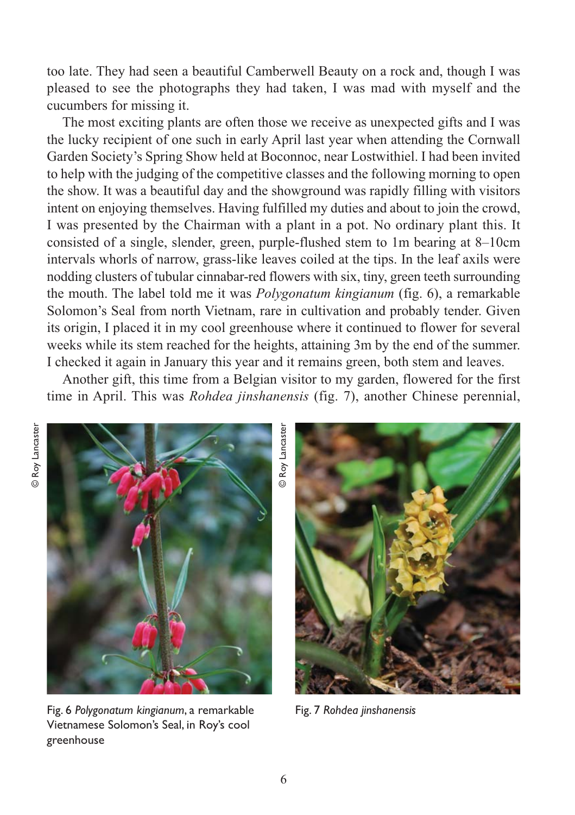too late. They had seen a beautiful Camberwell Beauty on a rock and, though I was pleased to see the photographs they had taken, I was mad with myself and the cucumbers for missing it.

The most exciting plants are often those we receive as unexpected gifts and I was the lucky recipient of one such in early April last year when attending the Cornwall Garden Society's Spring Show held at Boconnoc, near Lostwithiel. I had been invited to help with the judging of the competitive classes and the following morning to open the show. It was a beautiful day and the showground was rapidly filling with visitors intent on enjoying themselves. Having fulfilled my duties and about to join the crowd, I was presented by the Chairman with a plant in a pot. No ordinary plant this. It consisted of a single, slender, green, purple-flushed stem to 1m bearing at 8–10cm intervals whorls of narrow, grass-like leaves coiled at the tips. In the leaf axils were nodding clusters of tubular cinnabar-red flowers with six, tiny, green teeth surrounding the mouth. The label told me it was *Polygonatum kingianum* (fig. 6), a remarkable Solomon's Seal from north Vietnam, rare in cultivation and probably tender. Given its origin, I placed it in my cool greenhouse where it continued to flower for several weeks while its stem reached for the heights, attaining 3m by the end of the summer. I checked it again in January this year and it remains green, both stem and leaves.

Another gift, this time from a Belgian visitor to my garden, flowered for the first time in April. This was *Rohdea jinshanensis* (fig. 7), another Chinese perennial,

© Roy Lancaster



Fig. 6 *Polygonatum kingianum*, a remarkable Vietnamese Solomon's Seal, in Roy's cool greenhouse

Fig. 7 *Rohdea jinshanensis*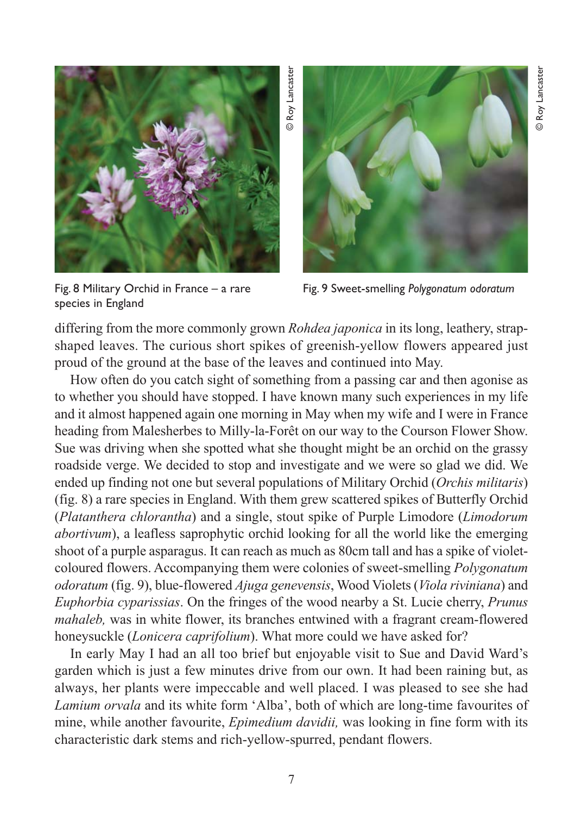

Fig. 8 Military Orchid in France – a rare species in England

Fig. 9 Sweet-smelling *Polygonatum odoratum*

differing from the more commonly grown *Rohdea japonica* in its long, leathery, strapshaped leaves. The curious short spikes of greenish-yellow flowers appeared just proud of the ground at the base of the leaves and continued into May.

How often do you catch sight of something from a passing car and then agonise as to whether you should have stopped. I have known many such experiences in my life and it almost happened again one morning in May when my wife and I were in France heading from Malesherbes to Milly-la-Forêt on our way to the Courson Flower Show. Sue was driving when she spotted what she thought might be an orchid on the grassy roadside verge. We decided to stop and investigate and we were so glad we did. We ended up finding not one but several populations of Military Orchid (*Orchis militaris*) (fig. 8) a rare species in England. With them grew scattered spikes of Butterfly Orchid (*Platanthera chlorantha*) and a single, stout spike of Purple Limodore (*Limodorum abortivum*), a leafless saprophytic orchid looking for all the world like the emerging shoot of a purple asparagus. It can reach as much as 80cm tall and has a spike of violetcoloured flowers. Accompanying them were colonies of sweet-smelling *Polygonatum odoratum* (fig. 9), blue-flowered *Ajuga genevensis*, Wood Violets (*Viola riviniana*) and *Euphorbia cyparissias*. On the fringes of the wood nearby a St. Lucie cherry, *Prunus mahaleb,* was in white flower, its branches entwined with a fragrant cream-flowered honeysuckle (*Lonicera caprifolium*). What more could we have asked for?

In early May I had an all too brief but enjoyable visit to Sue and David Ward's garden which is just a few minutes drive from our own. It had been raining but, as always, her plants were impeccable and well placed. I was pleased to see she had *Lamium orvala* and its white form 'Alba', both of which are long-time favourites of mine, while another favourite, *Epimedium davidii,* was looking in fine form with its characteristic dark stems and rich-yellow-spurred, pendant flowers.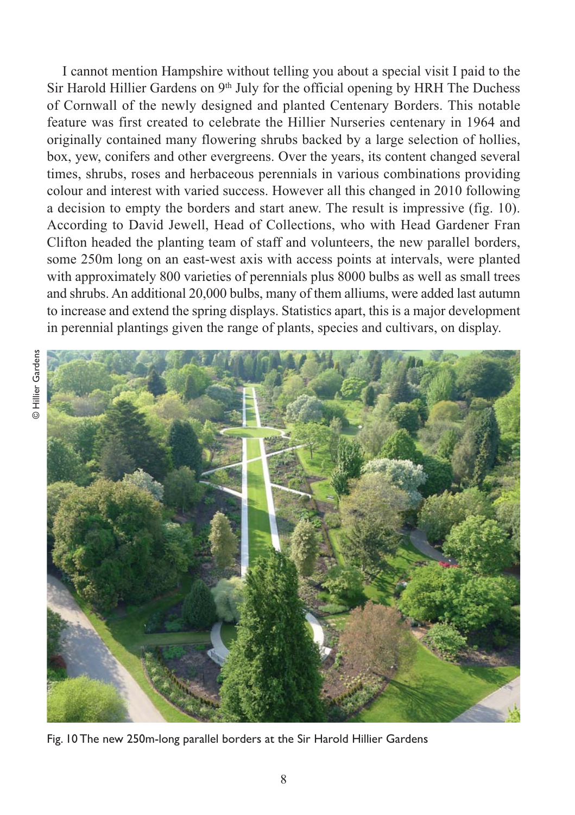I cannot mention Hampshire without telling you about a special visit I paid to the Sir Harold Hillier Gardens on  $9<sup>th</sup>$  July for the official opening by HRH The Duchess of Cornwall of the newly designed and planted Centenary Borders. This notable feature was first created to celebrate the Hillier Nurseries centenary in 1964 and originally contained many flowering shrubs backed by a large selection of hollies, box, yew, conifers and other evergreens. Over the years, its content changed several times, shrubs, roses and herbaceous perennials in various combinations providing colour and interest with varied success. However all this changed in 2010 following a decision to empty the borders and start anew. The result is impressive (fig. 10). According to David Jewell, Head of Collections, who with Head Gardener Fran Clifton headed the planting team of staff and volunteers, the new parallel borders, some 250m long on an east-west axis with access points at intervals, were planted with approximately 800 varieties of perennials plus 8000 bulbs as well as small trees and shrubs. An additional 20,000 bulbs, many of them alliums, were added last autumn to increase and extend the spring displays. Statistics apart, this is a major development in perennial plantings given the range of plants, species and cultivars, on display.



Fig. 10 The new 250m-long parallel borders at the Sir Harold Hillier Gardens